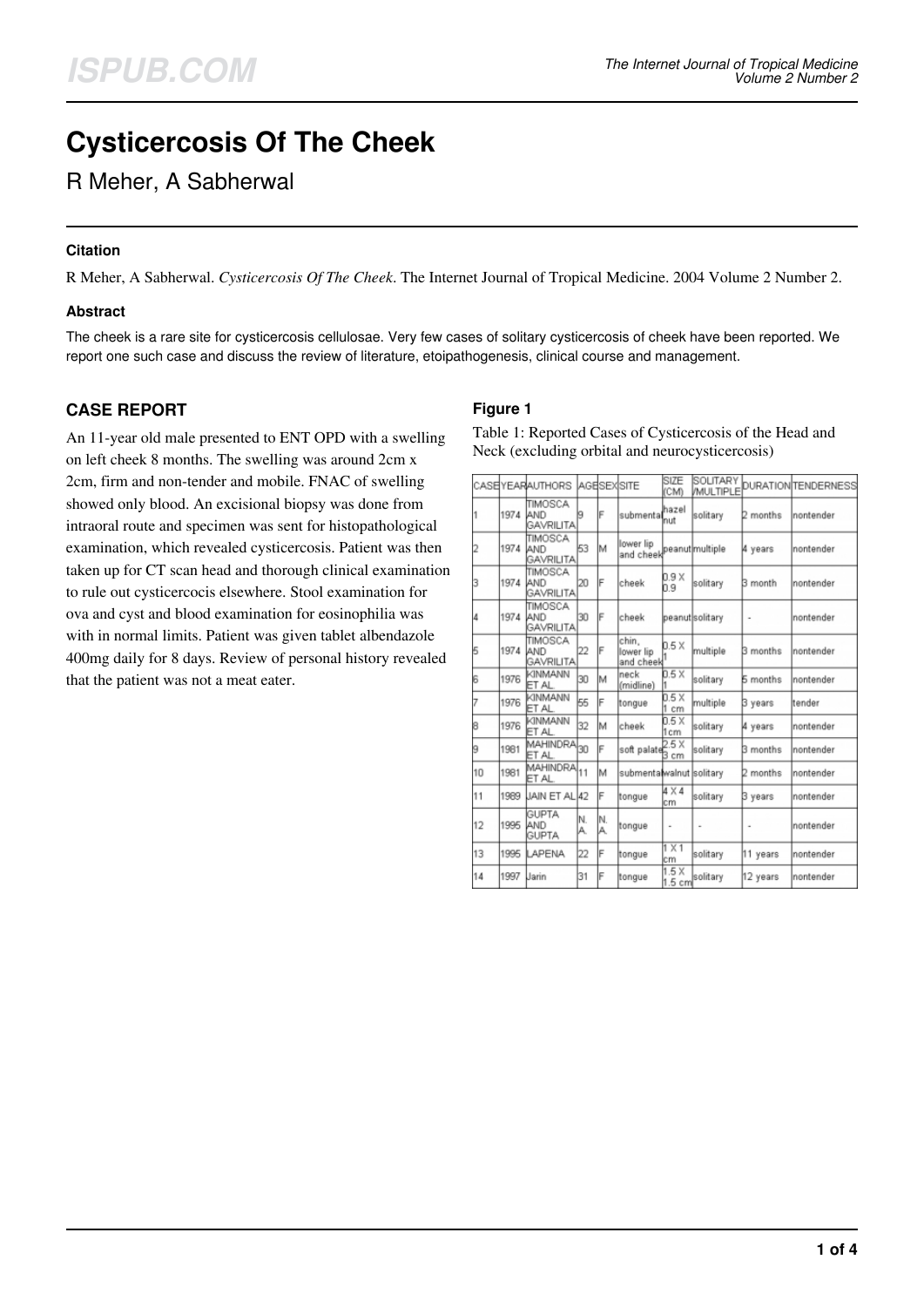# **Cysticercosis Of The Cheek**

R Meher, A Sabherwal

## **Citation**

R Meher, A Sabherwal. *Cysticercosis Of The Cheek*. The Internet Journal of Tropical Medicine. 2004 Volume 2 Number 2.

#### **Abstract**

The cheek is a rare site for cysticercosis cellulosae. Very few cases of solitary cysticercosis of cheek have been reported. We report one such case and discuss the review of literature, etoipathogenesis, clinical course and management.

## **CASE REPORT**

An 11-year old male presented to ENT OPD with a swelling on left cheek 8 months. The swelling was around 2cm x 2cm, firm and non-tender and mobile. FNAC of swelling showed only blood. An excisional biopsy was done from intraoral route and specimen was sent for histopathological examination, which revealed cysticercosis. Patient was then taken up for CT scan head and thorough clinical examination to rule out cysticercocis elsewhere. Stool examination for ova and cyst and blood examination for eosinophilia was with in normal limits. Patient was given tablet albendazole 400mg daily for 8 days. Review of personal history revealed that the patient was not a meat eater.

## **Figure 1**

Table 1: Reported Cases of Cysticercosis of the Head and Neck (excluding orbital and neurocysticercosis)

|    |      | CASEYEARAUTHORS                     |          |           | lagelsexisite                           | SIZE<br>(CM)        |                 |                 | <b>MULTIPLE</b> DURATION TENDERNESS |
|----|------|-------------------------------------|----------|-----------|-----------------------------------------|---------------------|-----------------|-----------------|-------------------------------------|
|    | 1974 | TIMOSCA<br>AND<br><b>GAVRILITA</b>  |          | F         | submental                               | hazel<br>nut        | solitary        | 2 months        | nontender                           |
|    | 1974 | TIMOSCA<br>AND<br><b>GAVRILITA</b>  | 53       | M         | llower lip<br>and cheek peanut multiple |                     |                 | 4 years         | nontender                           |
| 3  | 1974 | TIMOSCA<br>AND<br><b>GAVRILITA</b>  | 20       | IF        | cheek                                   | 0.9X<br>b.9         | solitary        | B month         | nontender                           |
| 4  | 1974 | TIMOSCA<br>AND<br><b>GAVRILITA</b>  | 30       | F         | cheek                                   |                     | peanut solitary | ٠               | nontender                           |
| 5  | 1974 | TIMOSCA<br>AND<br><b>GAVRILITA</b>  | 22       |           | chin.<br>lower lip<br>and cheek         | 0.5 X               | multiple        | <b>B</b> months | nontender                           |
| 16 | 1976 | KINMANN<br>ET AL                    | 30       | м         | neck<br>(midline)                       | 0.5 X               | solitary        | <b>5</b> months | nontender                           |
|    | 1976 | KINMANN<br>ET AL                    | 55       | F         | tongue                                  | 0.5 X<br>1 cm       | multiple        | B years         | tender                              |
| 8  | 1976 | KINMANN<br>ET AL                    | 32       | lΜ        | cheek                                   | 0.5 X<br>1cm        | solitary        | 4 years         | nontender                           |
| 9  | 1981 | MAHINDRA <sub>30</sub><br>ET AL.    |          | F         | soft palates cm                         | 2.5 X               | solitary        | 3 months        | nontender                           |
| 10 | 1981 | MAHINDRA <sub>11</sub><br>ET AL.    |          | м         | submentalwalnut solitary                |                     |                 | months          | nontender                           |
| 11 | 1989 | JAIN ET AL 42                       |          | F         | tongue                                  | $4 \times 4$<br>lcm | solitary        | 3 years         | nontender                           |
| 12 | 1995 | <b>GUPTA</b><br>AND<br><b>GUPTA</b> | N.<br>А. | IN.<br>A. | tongue                                  | i.                  | i.              | ı               | nontender                           |
| 13 | 1995 | LAPENA                              | 22       | F         | tongue                                  | $1 \times 1$<br>lcm | solitary        | 11 years        | nontender                           |
| 14 | 1997 | Jarin                               | 31       | F         | tongue                                  | 1.5X<br>1.5 cm      | solitary        | 12 years        | nontender                           |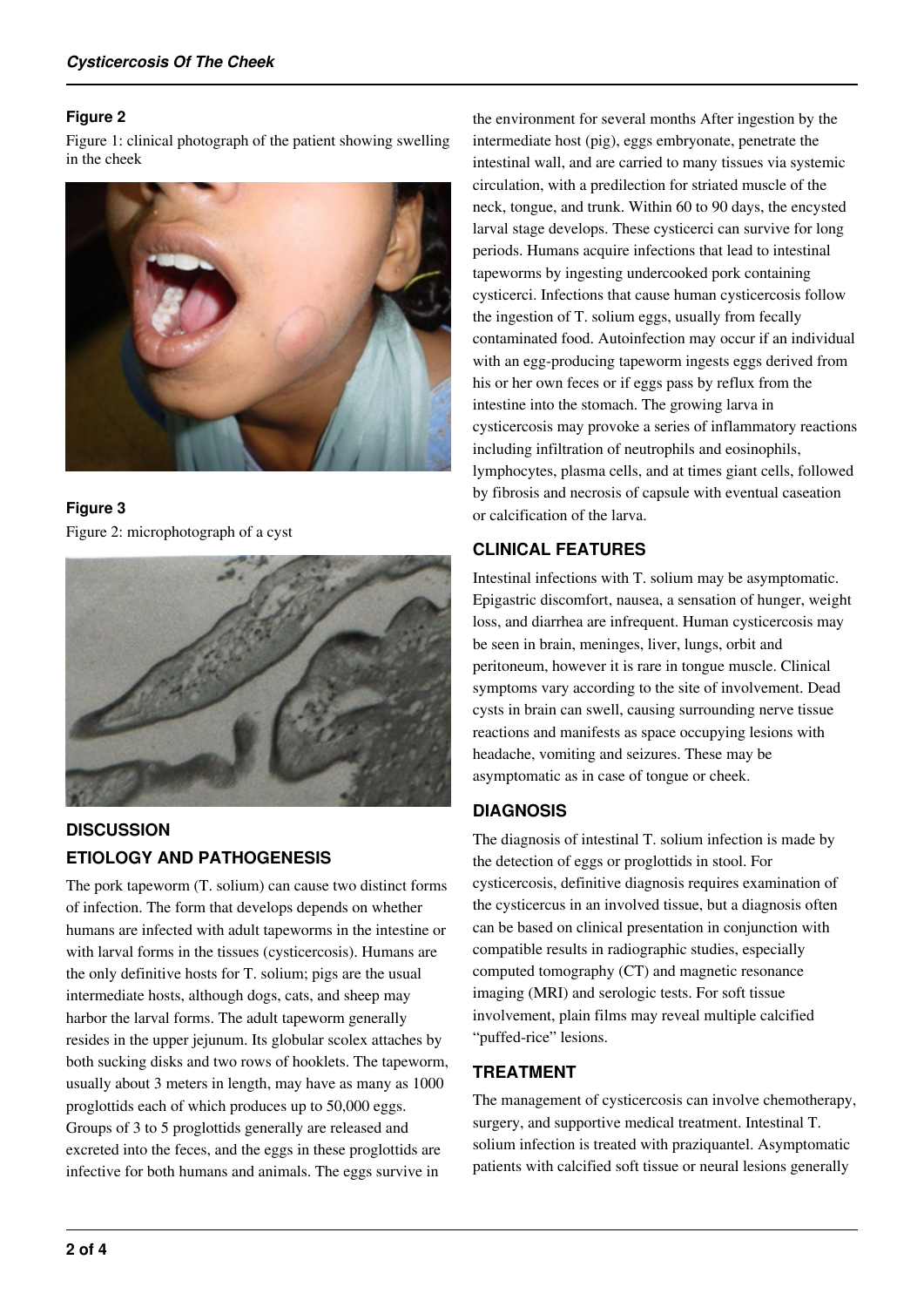## **Figure 2**

Figure 1: clinical photograph of the patient showing swelling in the cheek



**Figure 3** Figure 2: microphotograph of a cyst



# **DISCUSSION ETIOLOGY AND PATHOGENESIS**

The pork tapeworm (T. solium) can cause two distinct forms of infection. The form that develops depends on whether humans are infected with adult tapeworms in the intestine or with larval forms in the tissues (cysticercosis). Humans are the only definitive hosts for T. solium; pigs are the usual intermediate hosts, although dogs, cats, and sheep may harbor the larval forms. The adult tapeworm generally resides in the upper jejunum. Its globular scolex attaches by both sucking disks and two rows of hooklets. The tapeworm, usually about 3 meters in length, may have as many as 1000 proglottids each of which produces up to 50,000 eggs. Groups of 3 to 5 proglottids generally are released and excreted into the feces, and the eggs in these proglottids are infective for both humans and animals. The eggs survive in

the environment for several months After ingestion by the intermediate host (pig), eggs embryonate, penetrate the intestinal wall, and are carried to many tissues via systemic circulation, with a predilection for striated muscle of the neck, tongue, and trunk. Within 60 to 90 days, the encysted larval stage develops. These cysticerci can survive for long periods. Humans acquire infections that lead to intestinal tapeworms by ingesting undercooked pork containing cysticerci. Infections that cause human cysticercosis follow the ingestion of T. solium eggs, usually from fecally contaminated food. Autoinfection may occur if an individual with an egg-producing tapeworm ingests eggs derived from his or her own feces or if eggs pass by reflux from the intestine into the stomach. The growing larva in cysticercosis may provoke a series of inflammatory reactions including infiltration of neutrophils and eosinophils, lymphocytes, plasma cells, and at times giant cells, followed by fibrosis and necrosis of capsule with eventual caseation or calcification of the larva.

# **CLINICAL FEATURES**

Intestinal infections with T. solium may be asymptomatic. Epigastric discomfort, nausea, a sensation of hunger, weight loss, and diarrhea are infrequent. Human cysticercosis may be seen in brain, meninges, liver, lungs, orbit and peritoneum, however it is rare in tongue muscle. Clinical symptoms vary according to the site of involvement. Dead cysts in brain can swell, causing surrounding nerve tissue reactions and manifests as space occupying lesions with headache, vomiting and seizures. These may be asymptomatic as in case of tongue or cheek.

## **DIAGNOSIS**

The diagnosis of intestinal T. solium infection is made by the detection of eggs or proglottids in stool. For cysticercosis, definitive diagnosis requires examination of the cysticercus in an involved tissue, but a diagnosis often can be based on clinical presentation in conjunction with compatible results in radiographic studies, especially computed tomography (CT) and magnetic resonance imaging (MRI) and serologic tests. For soft tissue involvement, plain films may reveal multiple calcified "puffed-rice" lesions.

## **TREATMENT**

The management of cysticercosis can involve chemotherapy, surgery, and supportive medical treatment. Intestinal T. solium infection is treated with praziquantel. Asymptomatic patients with calcified soft tissue or neural lesions generally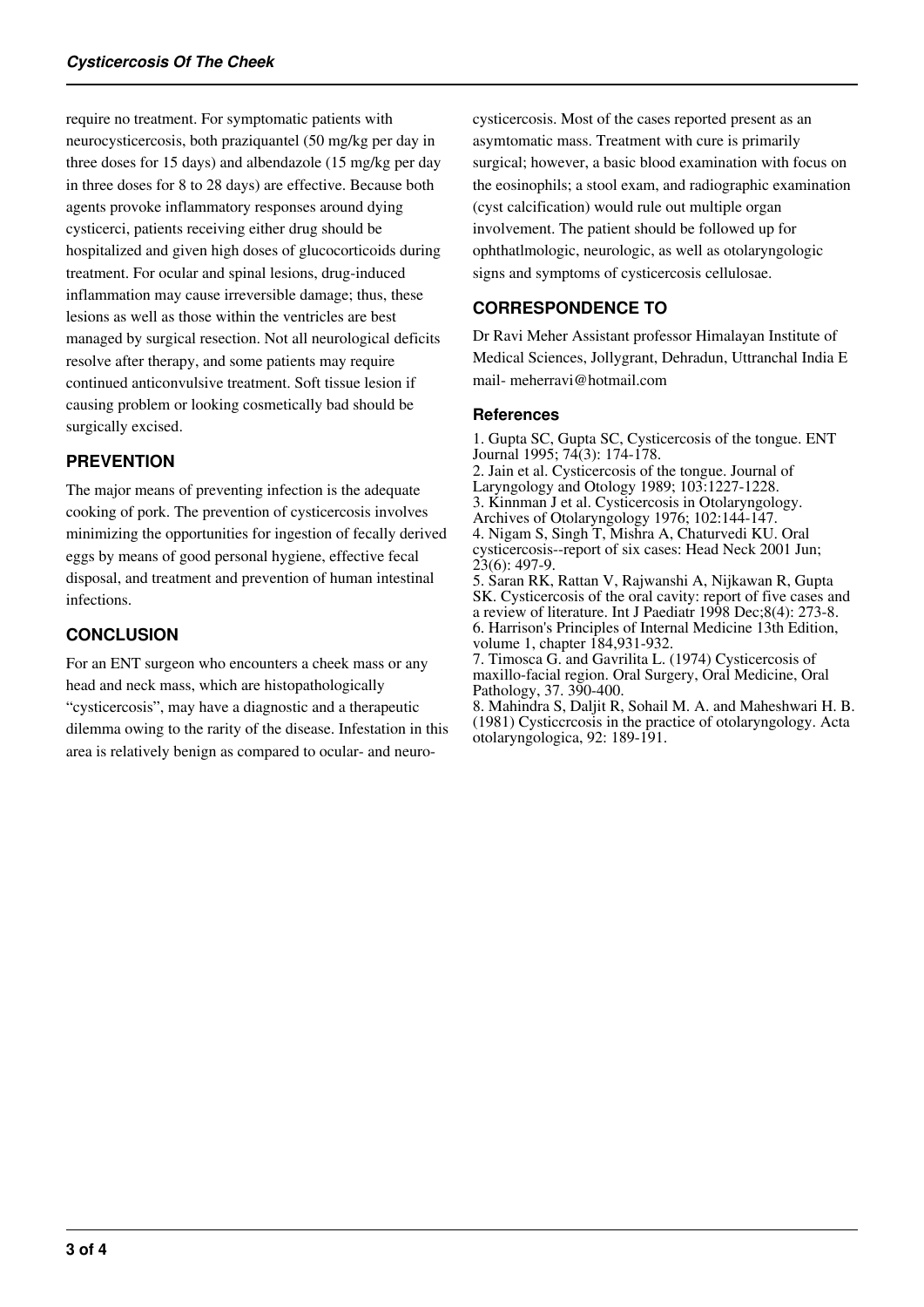require no treatment. For symptomatic patients with neurocysticercosis, both praziquantel (50 mg/kg per day in three doses for 15 days) and albendazole (15 mg/kg per day in three doses for 8 to 28 days) are effective. Because both agents provoke inflammatory responses around dying cysticerci, patients receiving either drug should be hospitalized and given high doses of glucocorticoids during treatment. For ocular and spinal lesions, drug-induced inflammation may cause irreversible damage; thus, these lesions as well as those within the ventricles are best managed by surgical resection. Not all neurological deficits resolve after therapy, and some patients may require continued anticonvulsive treatment. Soft tissue lesion if causing problem or looking cosmetically bad should be surgically excised.

# **PREVENTION**

The major means of preventing infection is the adequate cooking of pork. The prevention of cysticercosis involves minimizing the opportunities for ingestion of fecally derived eggs by means of good personal hygiene, effective fecal disposal, and treatment and prevention of human intestinal infections.

## **CONCLUSION**

For an ENT surgeon who encounters a cheek mass or any head and neck mass, which are histopathologically "cysticercosis", may have a diagnostic and a therapeutic dilemma owing to the rarity of the disease. Infestation in this area is relatively benign as compared to ocular- and neurocysticercosis. Most of the cases reported present as an asymtomatic mass. Treatment with cure is primarily surgical; however, a basic blood examination with focus on the eosinophils; a stool exam, and radiographic examination (cyst calcification) would rule out multiple organ involvement. The patient should be followed up for ophthatlmologic, neurologic, as well as otolaryngologic signs and symptoms of cysticercosis cellulosae.

# **CORRESPONDENCE TO**

Dr Ravi Meher Assistant professor Himalayan Institute of Medical Sciences, Jollygrant, Dehradun, Uttranchal India E mail- meherravi@hotmail.com

#### **References**

1. Gupta SC, Gupta SC, Cysticercosis of the tongue. ENT Journal 1995; 74(3): 174-178. 2. Jain et al. Cysticercosis of the tongue. Journal of Laryngology and Otology 1989; 103:1227-1228. 3. Kinnman J et al. Cysticercosis in Otolaryngology. Archives of Otolaryngology 1976; 102:144-147. 4. Nigam S, Singh T, Mishra A, Chaturvedi KU. Oral cysticercosis--report of six cases: Head Neck 2001 Jun; 23(6): 497-9. 5. Saran RK, Rattan V, Rajwanshi A, Nijkawan R, Gupta SK. Cysticercosis of the oral cavity: report of five cases and a review of literature. Int J Paediatr 1998 Dec;8(4): 273-8. 6. Harrison's Principles of Internal Medicine 13th Edition, volume 1, chapter 184,931-932.

7. Timosca G. and Gavrilita L. (1974) Cysticercosis of maxillo-facial region. Oral Surgery, Oral Medicine, Oral Pathology, 37. 390-400.

8. Mahindra S, Daljit R, Sohail M. A. and Maheshwari H. B. (1981) Cysticcrcosis in the practice of otolaryngology. Acta otolaryngologica, 92: 189-191.